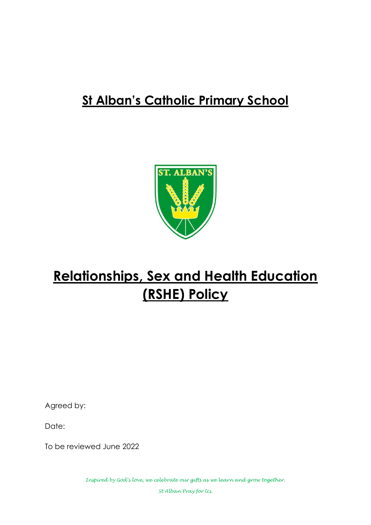# **St Alban's Catholic Primary School**



# **Relationships, Sex and Health Education (RSHE) Policy**

Agreed by:

Date:

To be reviewed June 2022

*Inspired by God's love, we celebrate our gifts as we learn and grow together. St Alban Pray for Us.*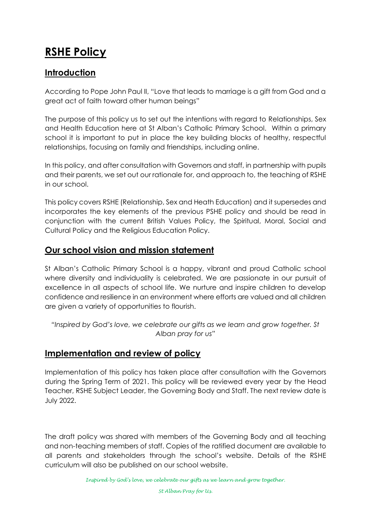# **RSHE Policy**

# **Introduction**

According to Pope John Paul II, "Love that leads to marriage is a gift from God and a great act of faith toward other human beings"

The purpose of this policy us to set out the intentions with regard to Relationships, Sex and Health Education here at St Alban's Catholic Primary School. Within a primary school it is important to put in place the key building blocks of healthy, respectful relationships, focusing on family and friendships, including online.

In this policy, and after consultation with Governors and staff, in partnership with pupils and their parents, we set out our rationale for, and approach to, the teaching of RSHE in our school.

This policy covers RSHE (Relationship, Sex and Heath Education) and it supersedes and incorporates the key elements of the previous PSHE policy and should be read in conjunction with the current British Values Policy, the Spiritual, Moral, Social and Cultural Policy and the Religious Education Policy.

## **Our school vision and mission statement**

St Alban's Catholic Primary School is a happy, vibrant and proud Catholic school where diversity and individuality is celebrated. We are passionate in our pursuit of excellence in all aspects of school life. We nurture and inspire children to develop confidence and resilience in an environment where efforts are valued and all children are given a variety of opportunities to flourish.

*"Inspired by God's love, we celebrate our gifts as we learn and grow together. St Alban pray for us"*

#### **Implementation and review of policy**

Implementation of this policy has taken place after consultation with the Governors during the Spring Term of 2021. This policy will be reviewed every year by the Head Teacher, RSHE Subject Leader, the Governing Body and Staff. The next review date is July 2022.

The draft policy was shared with members of the Governing Body and all teaching and non-teaching members of staff. Copies of the ratified document are available to all parents and stakeholders through the school's website. Details of the RSHE curriculum will also be published on our school website.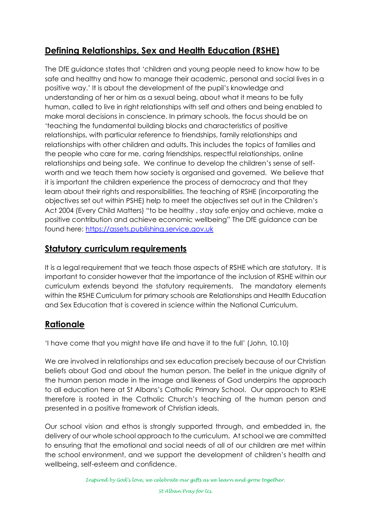# **Defining Relationships, Sex and Health Education (RSHE)**

The DfE guidance states that 'children and young people need to know how to be safe and healthy and how to manage their academic, personal and social lives in a positive way.' It is about the development of the pupil's knowledge and understanding of her or him as a sexual being, about what it means to be fully human, called to live in right relationships with self and others and being enabled to make moral decisions in conscience. In primary schools, the focus should be on 'teaching the fundamental building blocks and characteristics of positive relationships, with particular reference to friendships, family relationships and relationships with other children and adults. This includes the topics of families and the people who care for me, caring friendships, respectful relationships, online relationships and being safe. We continue to develop the children's sense of selfworth and we teach them how society is organised and governed. We believe that it is important the children experience the process of democracy and that they learn about their rights and responsibilities. The teaching of RSHE (incorporating the objectives set out within PSHE) help to meet the objectives set out in the Children's Act 2004 (Every Child Matters) "to be healthy , stay safe enjoy and achieve, make a positive contribution and achieve economic wellbeing" The DfE guidance can be found here: [https://assets.publishing.service.gov.uk](https://assets.publishing.service.gov.uk/)

# **Statutory curriculum requirements**

It is a legal requirement that we teach those aspects of RSHE which are statutory. It is important to consider however that the importance of the inclusion of RSHE within our curriculum extends beyond the statutory requirements. The mandatory elements within the RSHE Curriculum for primary schools are Relationships and Health Education and Sex Education that is covered in science within the National Curriculum.

# **Rationale**

'I have come that you might have life and have it to the full' (John, 10.10)

We are involved in relationships and sex education precisely because of our Christian beliefs about God and about the human person. The belief in the unique dignity of the human person made in the image and likeness of God underpins the approach to all education here at St Albans's Catholic Primary School. Our approach to RSHE therefore is rooted in the Catholic Church's teaching of the human person and presented in a positive framework of Christian ideals.

Our school vision and ethos is strongly supported through, and embedded in, the delivery of our whole school approach to the curriculum. At school we are committed to ensuring that the emotional and social needs of all of our children are met within the school environment, and we support the development of children's health and wellbeing, self-esteem and confidence.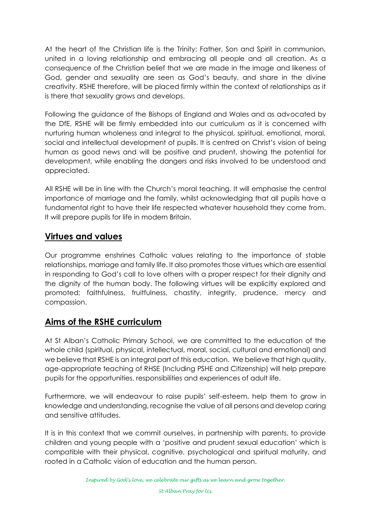At the heart of the Christian life is the Trinity; Father, Son and Spirit in communion, united in a loving relationship and embracing all people and all creation. As a consequence of the Christian belief that we are made in the image and likeness of God, gender and sexuality are seen as God's beauty, and share in the divine creativity. RSHE therefore, will be placed firmly within the context of relationships as it is there that sexuality grows and develops.

Following the guidance of the Bishops of England and Wales and as advocated by the DfE, RSHE will be firmly embedded into our curriculum as it is concerned with nurturing human wholeness and integral to the physical, spiritual, emotional, moral, social and intellectual development of pupils. It is centred on Christ's vision of being human as good news and will be positive and prudent, showing the potential for development, while enabling the dangers and risks involved to be understood and appreciated.

All RSHE will be in line with the Church's moral teaching. It will emphasise the central importance of marriage and the family, whilst acknowledging that all pupils have a fundamental right to have their life respected whatever household they come from. It will prepare pupils for life in modern Britain.

# **Virtues and values**

Our programme enshrines Catholic values relating to the importance of stable relationships, marriage and family life. It also promotes those virtues which are essential in responding to God's call to love others with a proper respect for their dignity and the dignity of the human body. The following virtues will be explicitly explored and promoted; faithfulness, fruitfulness, chastity, integrity, prudence, mercy and compassion.

# **Aims of the RSHE curriculum**

At St Alban's Catholic Primary School, we are committed to the education of the whole child (spiritual, physical, intellectual, moral, social, cultural and emotional) and we believe that RSHE is an integral part of this education. We believe that high quality, age-appropriate teaching of RHSE (Including PSHE and Citizenship) will help prepare pupils for the opportunities, responsibilities and experiences of adult life.

Furthermore, we will endeavour to raise pupils' self-esteem, help them to grow in knowledge and understanding, recognise the value of all persons and develop caring and sensitive attitudes.

It is in this context that we commit ourselves, in partnership with parents, to provide children and young people with a 'positive and prudent sexual education' which is compatible with their physical, cognitive, psychological and spiritual maturity, and rooted in a Catholic vision of education and the human person.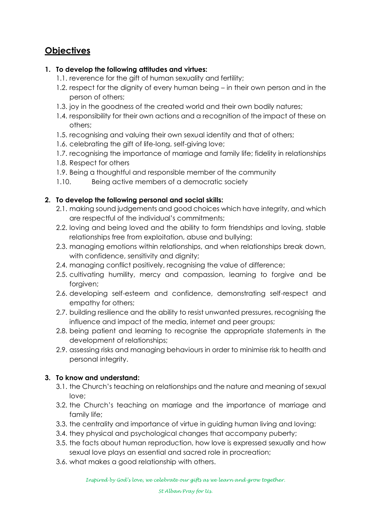# **Objectives**

#### **1. To develop the following attitudes and virtues:**

- 1.1. reverence for the gift of human sexuality and fertility;
- 1.2. respect for the dignity of every human being in their own person and in the person of others;
- 1.3. joy in the goodness of the created world and their own bodily natures;
- 1.4. responsibility for their own actions and a recognition of the impact of these on others;
- 1.5. recognising and valuing their own sexual identity and that of others;
- 1.6. celebrating the gift of life-long, self-giving love;
- 1.7. recognising the importance of marriage and family life; fidelity in relationships
- 1.8. Respect for others
- 1.9. Being a thoughtful and responsible member of the community
- 1.10. Being active members of a democratic society

#### **2. To develop the following personal and social skills:**

- 2.1. making sound judgements and good choices which have integrity, and which are respectful of the individual's commitments;
- 2.2. loving and being loved and the ability to form friendships and loving, stable relationships free from exploitation, abuse and bullying;
- 2.3. managing emotions within relationships, and when relationships break down, with confidence, sensitivity and dignity;
- 2.4. managing conflict positively, recognising the value of difference;
- 2.5. cultivating humility, mercy and compassion, learning to forgive and be forgiven;
- 2.6. developing self-esteem and confidence, demonstrating self-respect and empathy for others;
- 2.7. building resilience and the ability to resist unwanted pressures, recognising the influence and impact of the media, internet and peer groups;
- 2.8. being patient and learning to recognise the appropriate statements in the development of relationships;
- 2.9. assessing risks and managing behaviours in order to minimise risk to health and personal integrity.

#### **3. To know and understand:**

- 3.1. the Church's teaching on relationships and the nature and meaning of sexual love;
- 3.2. the Church's teaching on marriage and the importance of marriage and family life;
- 3.3. the centrality and importance of virtue in guiding human living and loving;
- 3.4. they physical and psychological changes that accompany puberty;
- 3.5. the facts about human reproduction, how love is expressed sexually and how sexual love plays an essential and sacred role in procreation;
- 3.6. what makes a good relationship with others.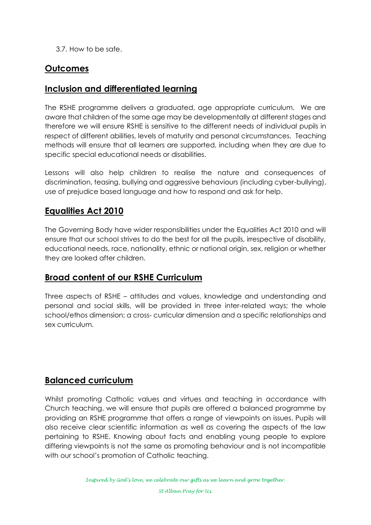3.7. How to be safe.

# **Outcomes**

# **Inclusion and differentiated learning**

The RSHE programme delivers a graduated, age appropriate curriculum. We are aware that children of the same age may be developmentally at different stages and therefore we will ensure RSHE is sensitive to the different needs of individual pupils in respect of different abilities, levels of maturity and personal circumstances. Teaching methods will ensure that all learners are supported, including when they are due to specific special educational needs or disabilities.

Lessons will also help children to realise the nature and consequences of discrimination, teasing, bullying and aggressive behaviours (including cyber-bullying), use of prejudice based language and how to respond and ask for help.

## **Equalities Act 2010**

The Governing Body have wider responsibilities under the Equalities Act 2010 and will ensure that our school strives to do the best for all the pupils, irrespective of disability, educational needs, race, nationality, ethnic or national origin, sex, religion or whether they are looked after children.

#### **Broad content of our RSHE Curriculum**

Three aspects of RSHE – attitudes and values, knowledge and understanding and personal and social skills, will be provided in three inter-related ways; the whole school/ethos dimension; a cross- curricular dimension and a specific relationships and sex curriculum.

#### **Balanced curriculum**

Whilst promoting Catholic values and virtues and teaching in accordance with Church teaching, we will ensure that pupils are offered a balanced programme by providing an RSHE programme that offers a range of viewpoints on issues. Pupils will also receive clear scientific information as well as covering the aspects of the law pertaining to RSHE. Knowing about facts and enabling young people to explore differing viewpoints is not the same as promoting behaviour and is not incompatible with our school's promotion of Catholic teaching.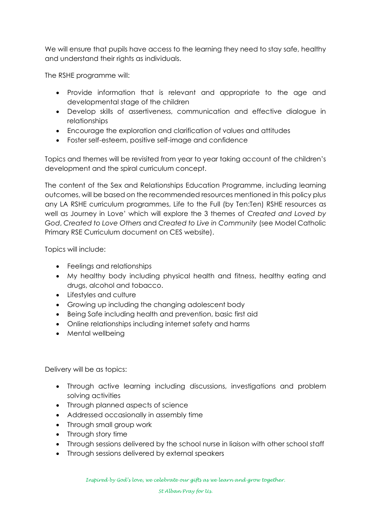We will ensure that pupils have access to the learning they need to stay safe, healthy and understand their rights as individuals.

The RSHE programme will:

- Provide information that is relevant and appropriate to the age and developmental stage of the children
- Develop skills of assertiveness, communication and effective dialogue in relationships
- Encourage the exploration and clarification of values and attitudes
- Foster self-esteem, positive self-image and confidence

Topics and themes will be revisited from year to year taking account of the children's development and the spiral curriculum concept.

The content of the Sex and Relationships Education Programme, including learning outcomes, will be based on the recommended resources mentioned in this policy plus any LA RSHE curriculum programmes, Life to the Full (by Ten:Ten) RSHE resources as well as Journey in Love' which will explore the 3 themes of *Created and Loved by God*, *Created to Love Others* and *Created to Live in Community* (see Model Catholic Primary RSE Curriculum document on CES website).

Topics will include:

- Feelings and relationships
- My healthy body including physical health and fitness, healthy eating and drugs, alcohol and tobacco.
- Lifestyles and culture
- Growing up including the changing adolescent body
- Being Safe including health and prevention, basic first aid
- Online relationships including internet safety and harms
- Mental wellbeing

Delivery will be as topics:

- Through active learning including discussions, investigations and problem solving activities
- Through planned aspects of science
- Addressed occasionally in assembly time
- Through small group work
- Through story time
- Through sessions delivered by the school nurse in liaison with other school staff
- Through sessions delivered by external speakers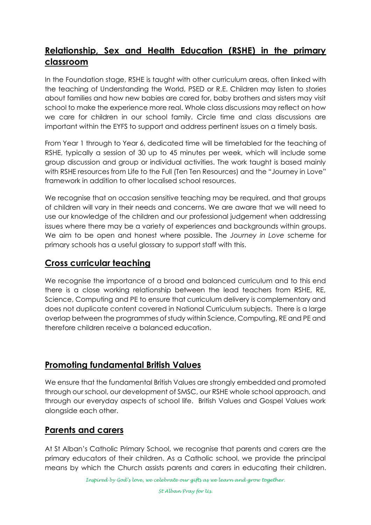# **Relationship, Sex and Health Education (RSHE) in the primary classroom**

In the Foundation stage, RSHE is taught with other curriculum areas, often linked with the teaching of Understanding the World, PSED or R.E. Children may listen to stories about families and how new babies are cared for, baby brothers and sisters may visit school to make the experience more real. Whole class discussions may reflect on how we care for children in our school family. Circle time and class discussions are important within the EYFS to support and address pertinent issues on a timely basis.

From Year 1 through to Year 6, dedicated time will be timetabled for the teaching of RSHE, typically a session of 30 up to 45 minutes per week, which will include some group discussion and group or individual activities. The work taught is based mainly with RSHE resources from Life to the Full (Ten Ten Resources) and the "Journey in Love" framework in addition to other localised school resources.

We recognise that on occasion sensitive teaching may be required, and that groups of children will vary in their needs and concerns. We are aware that we will need to use our knowledge of the children and our professional judgement when addressing issues where there may be a variety of experiences and backgrounds within groups. We aim to be open and honest where possible. The *Journey in Love* scheme for primary schools has a useful glossary to support staff with this.

#### **Cross curricular teaching**

We recognise the importance of a broad and balanced curriculum and to this end there is a close working relationship between the lead teachers from RSHE, RE, Science, Computing and PE to ensure that curriculum delivery is complementary and does not duplicate content covered in National Curriculum subjects. There is a large overlap between the programmes of study within Science, Computing, RE and PE and therefore children receive a balanced education.

#### **Promoting fundamental British Values**

We ensure that the fundamental British Values are strongly embedded and promoted through our school, our development of SMSC, our RSHE whole school approach, and through our everyday aspects of school life. British Values and Gospel Values work alongside each other.

#### **Parents and carers**

At St Alban's Catholic Primary School, we recognise that parents and carers are the primary educators of their children. As a Catholic school, we provide the principal means by which the Church assists parents and carers in educating their children.

*Inspired by God's love, we celebrate our gifts as we learn and grow together.*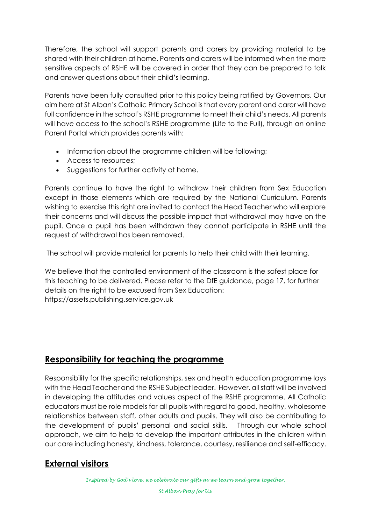Therefore, the school will support parents and carers by providing material to be shared with their children at home. Parents and carers will be informed when the more sensitive aspects of RSHE will be covered in order that they can be prepared to talk and answer questions about their child's learning.

Parents have been fully consulted prior to this policy being ratified by Governors. Our aim here at St Alban's Catholic Primary School is that every parent and carer will have full confidence in the school's RSHE programme to meet their child's needs. All parents will have access to the school's RSHE programme (Life to the Full), through an online Parent Portal which provides parents with:

- Information about the programme children will be following;
- Access to resources;
- Suggestions for further activity at home.

Parents continue to have the right to withdraw their children from Sex Education except in those elements which are required by the National Curriculum. Parents wishing to exercise this right are invited to contact the Head Teacher who will explore their concerns and will discuss the possible impact that withdrawal may have on the pupil. Once a pupil has been withdrawn they cannot participate in RSHE until the request of withdrawal has been removed.

The school will provide material for parents to help their child with their learning.

We believe that the controlled environment of the classroom is the safest place for this teaching to be delivered. Please refer to the DfE guidance, page 17, for further details on the right to be excused from Sex Education: https://assets.publishing.service.gov.uk

# **Responsibility for teaching the programme**

Responsibility for the specific relationships, sex and health education programme lays with the Head Teacher and the RSHE Subject leader. However, all staff will be involved in developing the attitudes and values aspect of the RSHE programme. All Catholic educators must be role models for all pupils with regard to good, healthy, wholesome relationships between staff, other adults and pupils. They will also be contributing to the development of pupils' personal and social skills. Through our whole school approach, we aim to help to develop the important attributes in the children within our care including honesty, kindness, tolerance, courtesy, resilience and self-efficacy.

# **External visitors**

*Inspired by God's love, we celebrate our gifts as we learn and grow together.*

*St Alban Pray for Us.*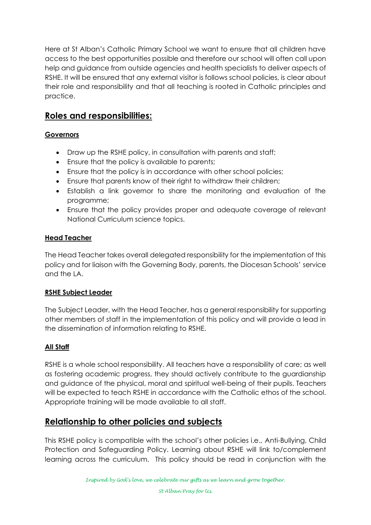Here at St Alban's Catholic Primary School we want to ensure that all children have access to the best opportunities possible and therefore our school will often call upon help and guidance from outside agencies and health specialists to deliver aspects of RSHE. It will be ensured that any external visitor is follows school policies, is clear about their role and responsibility and that all teaching is rooted in Catholic principles and practice.

# **Roles and responsibilities:**

#### **Governors**

- Draw up the RSHE policy, in consultation with parents and staff;
- Ensure that the policy is available to parents;
- Ensure that the policy is in accordance with other school policies;
- Ensure that parents know of their right to withdraw their children;
- Establish a link governor to share the monitoring and evaluation of the programme;
- Ensure that the policy provides proper and adequate coverage of relevant National Curriculum science topics.

#### **Head Teacher**

The Head Teacher takes overall delegated responsibility for the implementation of this policy and for liaison with the Governing Body, parents, the Diocesan Schools' service and the LA.

#### **RSHE Subject Leader**

The Subject Leader, with the Head Teacher, has a general responsibility for supporting other members of staff in the implementation of this policy and will provide a lead in the dissemination of information relating to RSHE.

#### **All Staff**

RSHE is a whole school responsibility. All teachers have a responsibility of care; as well as fostering academic progress, they should actively contribute to the guardianship and guidance of the physical, moral and spiritual well-being of their pupils. Teachers will be expected to teach RSHE in accordance with the Catholic ethos of the school. Appropriate training will be made available to all staff.

#### **Relationship to other policies and subjects**

This RSHE policy is compatible with the school's other policies i.e., Anti-Bullying, Child Protection and Safeguarding Policy. Learning about RSHE will link to/complement learning across the curriculum. This policy should be read in conjunction with the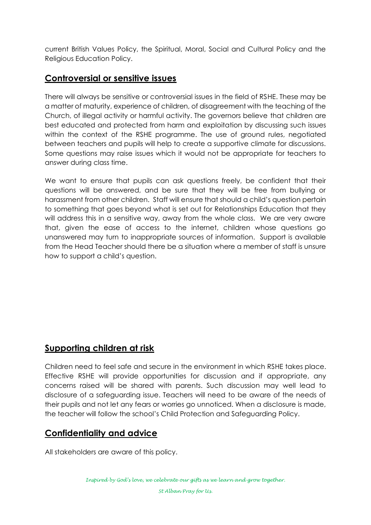current British Values Policy, the Spiritual, Moral, Social and Cultural Policy and the Religious Education Policy.

# **Controversial or sensitive issues**

There will always be sensitive or controversial issues in the field of RSHE. These may be a matter of maturity, experience of children, of disagreement with the teaching of the Church, of illegal activity or harmful activity. The governors believe that children are best educated and protected from harm and exploitation by discussing such issues within the context of the RSHE programme. The use of ground rules, negotiated between teachers and pupils will help to create a supportive climate for discussions. Some questions may raise issues which it would not be appropriate for teachers to answer during class time.

We want to ensure that pupils can ask questions freely, be confident that their questions will be answered, and be sure that they will be free from bullying or harassment from other children. Staff will ensure that should a child's question pertain to something that goes beyond what is set out for Relationships Education that they will address this in a sensitive way, away from the whole class. We are very aware that, given the ease of access to the internet, children whose questions go unanswered may turn to inappropriate sources of information. Support is available from the Head Teacher should there be a situation where a member of staff is unsure how to support a child's question.

# **Supporting children at risk**

Children need to feel safe and secure in the environment in which RSHE takes place. Effective RSHE will provide opportunities for discussion and if appropriate, any concerns raised will be shared with parents. Such discussion may well lead to disclosure of a safeguarding issue. Teachers will need to be aware of the needs of their pupils and not let any fears or worries go unnoticed. When a disclosure is made, the teacher will follow the school's Child Protection and Safeguarding Policy.

# **Confidentiality and advice**

All stakeholders are aware of this policy.

*St Alban Pray for Us.*